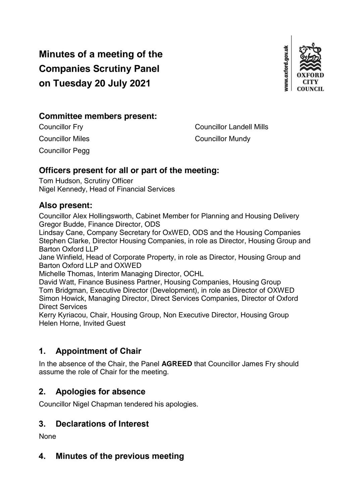# **Minutes of a meeting of the Companies Scrutiny Panel on Tuesday 20 July 2021**



#### **Committee members present:**

Councillor Pegg

Councillor Fry Councillor Landell Mills **Councillor Miles Councillor Mundy** 

# **Officers present for all or part of the meeting:**

Tom Hudson, Scrutiny Officer Nigel Kennedy, Head of Financial Services

#### **Also present:**

Councillor Alex Hollingsworth, Cabinet Member for Planning and Housing Delivery Gregor Budde, Finance Director, ODS

Lindsay Cane, Company Secretary for OxWED, ODS and the Housing Companies Stephen Clarke, Director Housing Companies, in role as Director, Housing Group and Barton Oxford LLP

Jane Winfield, Head of Corporate Property, in role as Director, Housing Group and Barton Oxford LLP and OXWED

Michelle Thomas, Interim Managing Director, OCHL

David Watt, Finance Business Partner, Housing Companies, Housing Group Tom Bridgman, Executive Director (Development), in role as Director of OXWED Simon Howick, Managing Director, Direct Services Companies, Director of Oxford Direct Services

Kerry Kyriacou, Chair, Housing Group, Non Executive Director, Housing Group Helen Horne, Invited Guest

# **1. Appointment of Chair**

In the absence of the Chair, the Panel **AGREED** that Councillor James Fry should assume the role of Chair for the meeting.

# **2. Apologies for absence**

Councillor Nigel Chapman tendered his apologies.

# **3. Declarations of Interest**

None

# **4. Minutes of the previous meeting**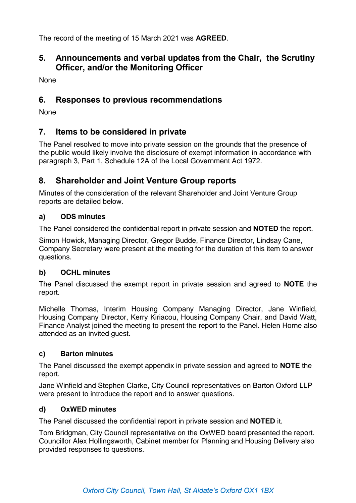The record of the meeting of 15 March 2021 was **AGREED**.

### **5. Announcements and verbal updates from the Chair, the Scrutiny Officer, and/or the Monitoring Officer**

None

#### **6. Responses to previous recommendations**

None

### **7. Items to be considered in private**

The Panel resolved to move into private session on the grounds that the presence of the public would likely involve the disclosure of exempt information in accordance with paragraph 3, Part 1, Schedule 12A of the Local Government Act 1972.

### **8. Shareholder and Joint Venture Group reports**

Minutes of the consideration of the relevant Shareholder and Joint Venture Group reports are detailed below.

#### **a) ODS minutes**

The Panel considered the confidential report in private session and **NOTED** the report.

Simon Howick, Managing Director, Gregor Budde, Finance Director, Lindsay Cane, Company Secretary were present at the meeting for the duration of this item to answer questions.

#### **b) OCHL minutes**

The Panel discussed the exempt report in private session and agreed to **NOTE** the report.

Michelle Thomas, Interim Housing Company Managing Director, Jane Winfield, Housing Company Director, Kerry Kiriacou, Housing Company Chair, and David Watt, Finance Analyst joined the meeting to present the report to the Panel. Helen Horne also attended as an invited guest.

#### **c) Barton minutes**

The Panel discussed the exempt appendix in private session and agreed to **NOTE** the report.

Jane Winfield and Stephen Clarke, City Council representatives on Barton Oxford LLP were present to introduce the report and to answer questions.

#### **d) OxWED minutes**

The Panel discussed the confidential report in private session and **NOTED** it.

Tom Bridgman, City Council representative on the OxWED board presented the report. Councillor Alex Hollingsworth, Cabinet member for Planning and Housing Delivery also provided responses to questions.